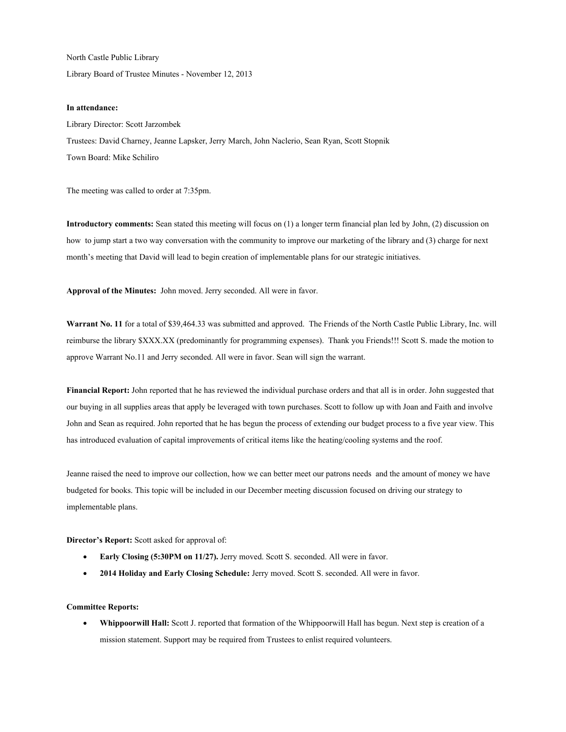North Castle Public Library Library Board of Trustee Minutes - November 12, 2013

## **In attendance:**

Library Director: Scott Jarzombek Trustees: David Charney, Jeanne Lapsker, Jerry March, John Naclerio, Sean Ryan, Scott Stopnik Town Board: Mike Schiliro

The meeting was called to order at 7:35pm.

**Introductory comments:** Sean stated this meeting will focus on (1) a longer term financial plan led by John, (2) discussion on how to jump start a two way conversation with the community to improve our marketing of the library and (3) charge for next month's meeting that David will lead to begin creation of implementable plans for our strategic initiatives.

**Approval of the Minutes:** John moved. Jerry seconded. All were in favor.

**Warrant No. 11** for a total of \$39,464.33 was submitted and approved. The Friends of the North Castle Public Library, Inc. will reimburse the library \$XXX.XX (predominantly for programming expenses). Thank you Friends!!! Scott S. made the motion to approve Warrant No.11 and Jerry seconded. All were in favor. Sean will sign the warrant.

**Financial Report:** John reported that he has reviewed the individual purchase orders and that all is in order. John suggested that our buying in all supplies areas that apply be leveraged with town purchases. Scott to follow up with Joan and Faith and involve John and Sean as required. John reported that he has begun the process of extending our budget process to a five year view. This has introduced evaluation of capital improvements of critical items like the heating/cooling systems and the roof.

Jeanne raised the need to improve our collection, how we can better meet our patrons needs and the amount of money we have budgeted for books. This topic will be included in our December meeting discussion focused on driving our strategy to implementable plans.

**Director's Report:** Scott asked for approval of:

- **Early Closing (5:30PM on 11/27).** Jerry moved. Scott S. seconded. All were in favor.
- **2014 Holiday and Early Closing Schedule:** Jerry moved. Scott S. seconded. All were in favor.

## **Committee Reports:**

 **Whippoorwill Hall:** Scott J. reported that formation of the Whippoorwill Hall has begun. Next step is creation of a mission statement. Support may be required from Trustees to enlist required volunteers.